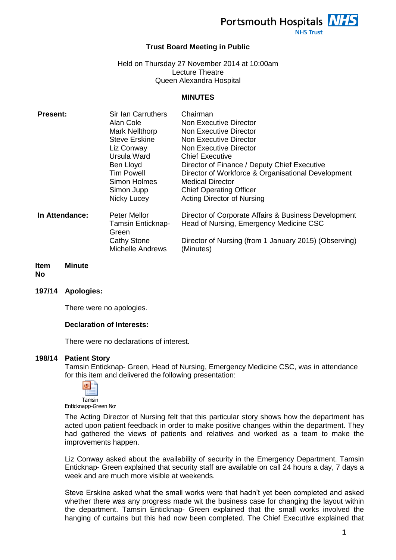

**NHS Trust** 

## **Trust Board Meeting in Public**

Held on Thursday 27 November 2014 at 10:00am Lecture Theatre Queen Alexandra Hospital

#### **MINUTES**

| <b>Present:</b> | Sir Ian Carruthers                     | Chairman                                                           |
|-----------------|----------------------------------------|--------------------------------------------------------------------|
|                 | Alan Cole                              | Non Executive Director                                             |
|                 | Mark Nellthorp                         | Non Executive Director                                             |
|                 | <b>Steve Erskine</b>                   | Non Executive Director                                             |
|                 | Liz Conway                             | Non Executive Director                                             |
|                 | Ursula Ward                            | <b>Chief Executive</b>                                             |
|                 | Ben Lloyd                              | Director of Finance / Deputy Chief Executive                       |
|                 | <b>Tim Powell</b>                      | Director of Workforce & Organisational Development                 |
|                 | Simon Holmes                           | <b>Medical Director</b>                                            |
|                 | Simon Jupp                             | <b>Chief Operating Officer</b>                                     |
|                 | Nicky Lucey                            | <b>Acting Director of Nursing</b>                                  |
| In Attendance:  | Peter Mellor                           | Director of Corporate Affairs & Business Development               |
|                 | Tamsin Enticknap-                      | Head of Nursing, Emergency Medicine CSC                            |
|                 | Green                                  |                                                                    |
|                 | Cathy Stone<br><b>Michelle Andrews</b> | Director of Nursing (from 1 January 2015) (Observing)<br>(Minutes) |
|                 |                                        |                                                                    |

#### **Item No Minute**

**197/14 Apologies:**

There were no apologies.

#### **Declaration of Interests:**

There were no declarations of interest.

#### **198/14 Patient Story**

Tamsin Enticknap- Green, Head of Nursing, Emergency Medicine CSC, was in attendance for this item and delivered the following presentation:



Enticknapp-Green Nov

The Acting Director of Nursing felt that this particular story shows how the department has acted upon patient feedback in order to make positive changes within the department. They had gathered the views of patients and relatives and worked as a team to make the improvements happen.

Liz Conway asked about the availability of security in the Emergency Department. Tamsin Enticknap- Green explained that security staff are available on call 24 hours a day, 7 days a week and are much more visible at weekends.

Steve Erskine asked what the small works were that hadn't yet been completed and asked whether there was any progress made wit the business case for changing the layout within the department. Tamsin Enticknap- Green explained that the small works involved the hanging of curtains but this had now been completed. The Chief Executive explained that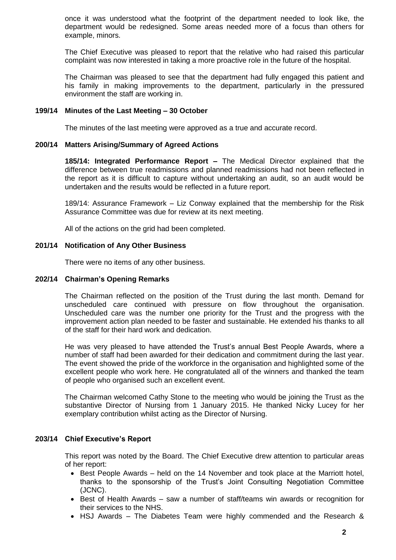once it was understood what the footprint of the department needed to look like, the department would be redesigned. Some areas needed more of a focus than others for example, minors.

The Chief Executive was pleased to report that the relative who had raised this particular complaint was now interested in taking a more proactive role in the future of the hospital.

The Chairman was pleased to see that the department had fully engaged this patient and his family in making improvements to the department, particularly in the pressured environment the staff are working in.

## **199/14 Minutes of the Last Meeting – 30 October**

The minutes of the last meeting were approved as a true and accurate record.

## **200/14 Matters Arising/Summary of Agreed Actions**

**185/14: Integrated Performance Report –** The Medical Director explained that the difference between true readmissions and planned readmissions had not been reflected in the report as it is difficult to capture without undertaking an audit, so an audit would be undertaken and the results would be reflected in a future report.

189/14: Assurance Framework – Liz Conway explained that the membership for the Risk Assurance Committee was due for review at its next meeting.

All of the actions on the grid had been completed.

## **201/14 Notification of Any Other Business**

There were no items of any other business.

## **202/14 Chairman's Opening Remarks**

The Chairman reflected on the position of the Trust during the last month. Demand for unscheduled care continued with pressure on flow throughout the organisation. Unscheduled care was the number one priority for the Trust and the progress with the improvement action plan needed to be faster and sustainable. He extended his thanks to all of the staff for their hard work and dedication.

He was very pleased to have attended the Trust's annual Best People Awards, where a number of staff had been awarded for their dedication and commitment during the last year. The event showed the pride of the workforce in the organisation and highlighted some of the excellent people who work here. He congratulated all of the winners and thanked the team of people who organised such an excellent event.

The Chairman welcomed Cathy Stone to the meeting who would be joining the Trust as the substantive Director of Nursing from 1 January 2015. He thanked Nicky Lucey for her exemplary contribution whilst acting as the Director of Nursing.

## **203/14 Chief Executive's Report**

This report was noted by the Board. The Chief Executive drew attention to particular areas of her report:

- Best People Awards held on the 14 November and took place at the Marriott hotel, thanks to the sponsorship of the Trust's Joint Consulting Negotiation Committee (JCNC).
- Best of Health Awards saw a number of staff/teams win awards or recognition for their services to the NHS.
- HSJ Awards The Diabetes Team were highly commended and the Research &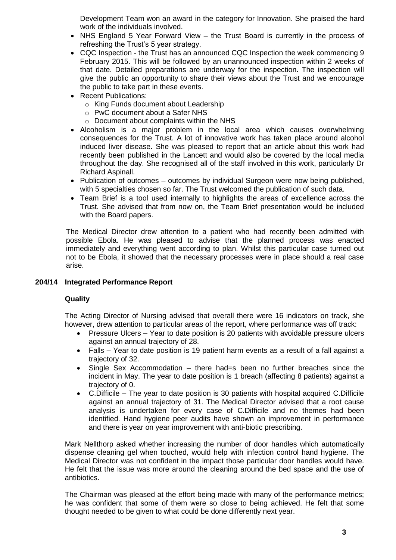Development Team won an award in the category for Innovation. She praised the hard work of the individuals involved.

- NHS England 5 Year Forward View the Trust Board is currently in the process of refreshing the Trust's 5 year strategy.
- CQC Inspection the Trust has an announced CQC Inspection the week commencing 9 February 2015. This will be followed by an unannounced inspection within 2 weeks of that date. Detailed preparations are underway for the inspection. The inspection will give the public an opportunity to share their views about the Trust and we encourage the public to take part in these events.
- Recent Publications:
	- o King Funds document about Leadership
	- o PwC document about a Safer NHS
	- o Document about complaints within the NHS
- Alcoholism is a major problem in the local area which causes overwhelming consequences for the Trust. A lot of innovative work has taken place around alcohol induced liver disease. She was pleased to report that an article about this work had recently been published in the Lancett and would also be covered by the local media throughout the day. She recognised all of the staff involved in this work, particularly Dr Richard Aspinall.
- Publication of outcomes outcomes by individual Surgeon were now being published, with 5 specialties chosen so far. The Trust welcomed the publication of such data.
- Team Brief is a tool used internally to highlights the areas of excellence across the Trust. She advised that from now on, the Team Brief presentation would be included with the Board papers.

The Medical Director drew attention to a patient who had recently been admitted with possible Ebola. He was pleased to advise that the planned process was enacted immediately and everything went according to plan. Whilst this particular case turned out not to be Ebola, it showed that the necessary processes were in place should a real case arise.

## **204/14 Integrated Performance Report**

# **Quality**

The Acting Director of Nursing advised that overall there were 16 indicators on track, she however, drew attention to particular areas of the report, where performance was off track:

- Pressure Ulcers Year to date position is 20 patients with avoidable pressure ulcers against an annual trajectory of 28.
- Falls Year to date position is 19 patient harm events as a result of a fall against a trajectory of 32.
- Single Sex Accommodation there had=s been no further breaches since the incident in May. The year to date position is 1 breach (affecting 8 patients) against a trajectory of 0.
- C.Difficile The year to date position is 30 patients with hospital acquired C.Difficile against an annual trajectory of 31. The Medical Director advised that a root cause analysis is undertaken for every case of C.Difficile and no themes had been identified. Hand hygiene peer audits have shown an improvement in performance and there is year on year improvement with anti-biotic prescribing.

Mark Nellthorp asked whether increasing the number of door handles which automatically dispense cleaning gel when touched, would help with infection control hand hygiene. The Medical Director was not confident in the impact those particular door handles would have. He felt that the issue was more around the cleaning around the bed space and the use of antibiotics.

The Chairman was pleased at the effort being made with many of the performance metrics; he was confident that some of them were so close to being achieved. He felt that some thought needed to be given to what could be done differently next year.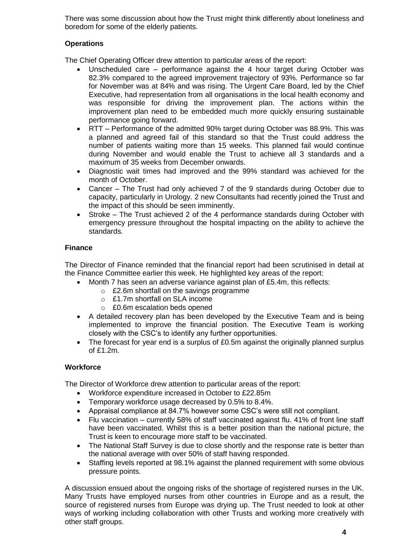There was some discussion about how the Trust might think differently about loneliness and boredom for some of the elderly patients.

# **Operations**

The Chief Operating Officer drew attention to particular areas of the report:

- Unscheduled care performance against the 4 hour target during October was 82.3% compared to the agreed improvement trajectory of 93%. Performance so far for November was at 84% and was rising. The Urgent Care Board, led by the Chief Executive, had representation from all organisations in the local health economy and was responsible for driving the improvement plan. The actions within the improvement plan need to be embedded much more quickly ensuring sustainable performance going forward.
- RTT Performance of the admitted 90% target during October was 88.9%. This was a planned and agreed fail of this standard so that the Trust could address the number of patients waiting more than 15 weeks. This planned fail would continue during November and would enable the Trust to achieve all 3 standards and a maximum of 35 weeks from December onwards.
- Diagnostic wait times had improved and the 99% standard was achieved for the month of October.
- Cancer The Trust had only achieved 7 of the 9 standards during October due to capacity, particularly in Urology. 2 new Consultants had recently joined the Trust and the impact of this should be seen imminently.
- Stroke The Trust achieved 2 of the 4 performance standards during October with emergency pressure throughout the hospital impacting on the ability to achieve the standards.

## **Finance**

The Director of Finance reminded that the financial report had been scrutinised in detail at the Finance Committee earlier this week. He highlighted key areas of the report:

- Month 7 has seen an adverse variance against plan of £5.4m, this reflects:
	- o £2.6m shortfall on the savings programme
	- o £1.7m shortfall on SLA income
	- o £0.6m escalation beds opened
- A detailed recovery plan has been developed by the Executive Team and is being implemented to improve the financial position. The Executive Team is working closely with the CSC's to identify any further opportunities.
- The forecast for year end is a surplus of £0.5m against the originally planned surplus of £1.2m.

# **Workforce**

The Director of Workforce drew attention to particular areas of the report:

- Workforce expenditure increased in October to £22.85m
- Temporary workforce usage decreased by 0.5% to 8.4%.
- Appraisal compliance at 84.7% however some CSC's were still not compliant.
- Flu vaccination currently 58% of staff vaccinated against flu. 41% of front line staff have been vaccinated. Whilst this is a better position than the national picture, the Trust is keen to encourage more staff to be vaccinated.
- The National Staff Survey is due to close shortly and the response rate is better than the national average with over 50% of staff having responded.
- Staffing levels reported at 98.1% against the planned requirement with some obvious pressure points.

A discussion ensued about the ongoing risks of the shortage of registered nurses in the UK. Many Trusts have employed nurses from other countries in Europe and as a result, the source of registered nurses from Europe was drying up. The Trust needed to look at other ways of working including collaboration with other Trusts and working more creatively with other staff groups.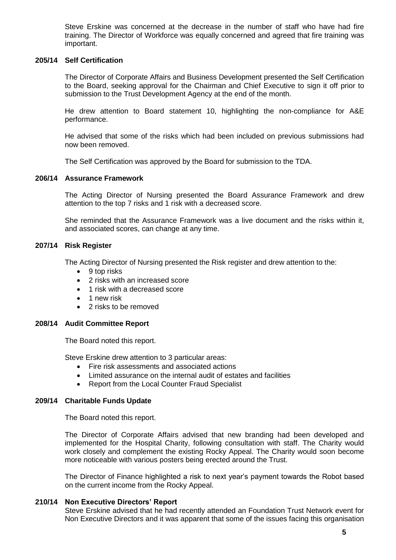Steve Erskine was concerned at the decrease in the number of staff who have had fire training. The Director of Workforce was equally concerned and agreed that fire training was important.

## **205/14 Self Certification**

The Director of Corporate Affairs and Business Development presented the Self Certification to the Board, seeking approval for the Chairman and Chief Executive to sign it off prior to submission to the Trust Development Agency at the end of the month.

He drew attention to Board statement 10, highlighting the non-compliance for A&E performance.

He advised that some of the risks which had been included on previous submissions had now been removed.

The Self Certification was approved by the Board for submission to the TDA.

## **206/14 Assurance Framework**

The Acting Director of Nursing presented the Board Assurance Framework and drew attention to the top 7 risks and 1 risk with a decreased score.

She reminded that the Assurance Framework was a live document and the risks within it, and associated scores, can change at any time.

## **207/14 Risk Register**

The Acting Director of Nursing presented the Risk register and drew attention to the:

- $\bullet$  9 top risks
- 2 risks with an increased score
- 1 risk with a decreased score
- $\bullet$  1 new risk
- 2 risks to be removed

## **208/14 Audit Committee Report**

The Board noted this report.

Steve Erskine drew attention to 3 particular areas:

- Fire risk assessments and associated actions
- Limited assurance on the internal audit of estates and facilities
- Report from the Local Counter Fraud Specialist

## **209/14 Charitable Funds Update**

The Board noted this report.

The Director of Corporate Affairs advised that new branding had been developed and implemented for the Hospital Charity, following consultation with staff. The Charity would work closely and complement the existing Rocky Appeal. The Charity would soon become more noticeable with various posters being erected around the Trust.

The Director of Finance highlighted a risk to next year's payment towards the Robot based on the current income from the Rocky Appeal.

## **210/14 Non Executive Directors' Report**

Steve Erskine advised that he had recently attended an Foundation Trust Network event for Non Executive Directors and it was apparent that some of the issues facing this organisation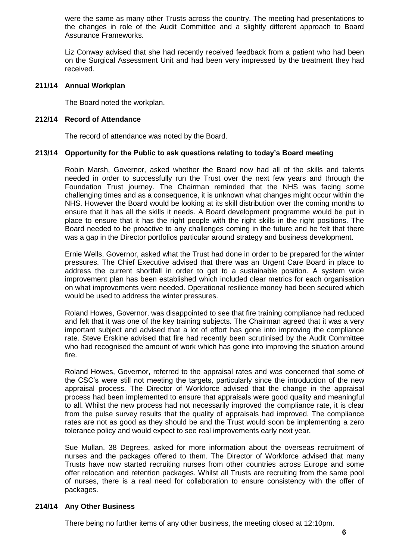were the same as many other Trusts across the country. The meeting had presentations to the changes in role of the Audit Committee and a slightly different approach to Board Assurance Frameworks.

Liz Conway advised that she had recently received feedback from a patient who had been on the Surgical Assessment Unit and had been very impressed by the treatment they had received.

## **211/14 Annual Workplan**

The Board noted the workplan.

## **212/14 Record of Attendance**

The record of attendance was noted by the Board.

## **213/14 Opportunity for the Public to ask questions relating to today's Board meeting**

Robin Marsh, Governor, asked whether the Board now had all of the skills and talents needed in order to successfully run the Trust over the next few years and through the Foundation Trust journey. The Chairman reminded that the NHS was facing some challenging times and as a consequence, it is unknown what changes might occur within the NHS. However the Board would be looking at its skill distribution over the coming months to ensure that it has all the skills it needs. A Board development programme would be put in place to ensure that it has the right people with the right skills in the right positions. The Board needed to be proactive to any challenges coming in the future and he felt that there was a gap in the Director portfolios particular around strategy and business development.

Ernie Wells, Governor, asked what the Trust had done in order to be prepared for the winter pressures. The Chief Executive advised that there was an Urgent Care Board in place to address the current shortfall in order to get to a sustainable position. A system wide improvement plan has been established which included clear metrics for each organisation on what improvements were needed. Operational resilience money had been secured which would be used to address the winter pressures.

Roland Howes, Governor, was disappointed to see that fire training compliance had reduced and felt that it was one of the key training subjects. The Chairman agreed that it was a very important subject and advised that a lot of effort has gone into improving the compliance rate. Steve Erskine advised that fire had recently been scrutinised by the Audit Committee who had recognised the amount of work which has gone into improving the situation around fire.

Roland Howes, Governor, referred to the appraisal rates and was concerned that some of the CSC's were still not meeting the targets, particularly since the introduction of the new appraisal process. The Director of Workforce advised that the change in the appraisal process had been implemented to ensure that appraisals were good quality and meaningful to all. Whilst the new process had not necessarily improved the compliance rate, it is clear from the pulse survey results that the quality of appraisals had improved. The compliance rates are not as good as they should be and the Trust would soon be implementing a zero tolerance policy and would expect to see real improvements early next year.

Sue Mullan, 38 Degrees, asked for more information about the overseas recruitment of nurses and the packages offered to them. The Director of Workforce advised that many Trusts have now started recruiting nurses from other countries across Europe and some offer relocation and retention packages. Whilst all Trusts are recruiting from the same pool of nurses, there is a real need for collaboration to ensure consistency with the offer of packages.

## **214/14 Any Other Business**

There being no further items of any other business, the meeting closed at 12:10pm.